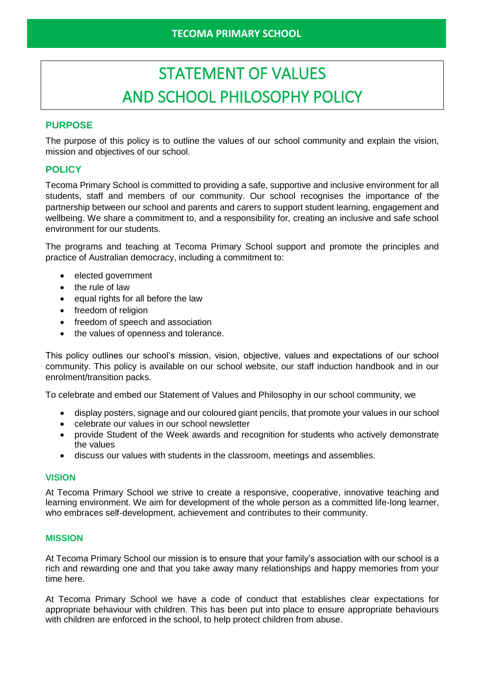# STATEMENT OF VALUES AND SCHOOL PHILOSOPHY POLICY

# **PURPOSE**

The purpose of this policy is to outline the values of our school community and explain the vision, mission and objectives of our school.

# **POLICY**

Tecoma Primary School is committed to providing a safe, supportive and inclusive environment for all students, staff and members of our community. Our school recognises the importance of the partnership between our school and parents and carers to support student learning, engagement and wellbeing. We share a commitment to, and a responsibility for, creating an inclusive and safe school environment for our students.

The programs and teaching at Tecoma Primary School support and promote the principles and practice of Australian democracy, including a commitment to:

- elected government
- the rule of law
- equal rights for all before the law
- freedom of religion
- freedom of speech and association
- the values of openness and tolerance.

This policy outlines our school's mission, vision, objective, values and expectations of our school community. This policy is available on our school website, our staff induction handbook and in our enrolment/transition packs.

To celebrate and embed our Statement of Values and Philosophy in our school community, we

- display posters, signage and our coloured giant pencils, that promote your values in our school
- celebrate our values in our school newsletter
- provide Student of the Week awards and recognition for students who actively demonstrate the values
- discuss our values with students in the classroom, meetings and assemblies.

#### **VISION**

At Tecoma Primary School we strive to create a responsive, cooperative, innovative teaching and learning environment. We aim for development of the whole person as a committed life-long learner, who embraces self-development, achievement and contributes to their community.

#### **MISSION**

At Tecoma Primary School our mission is to ensure that your family's association with our school is a rich and rewarding one and that you take away many relationships and happy memories from your time here.

At Tecoma Primary School we have a code of conduct that establishes clear expectations for appropriate behaviour with children. This has been put into place to ensure appropriate behaviours with children are enforced in the school, to help protect children from abuse.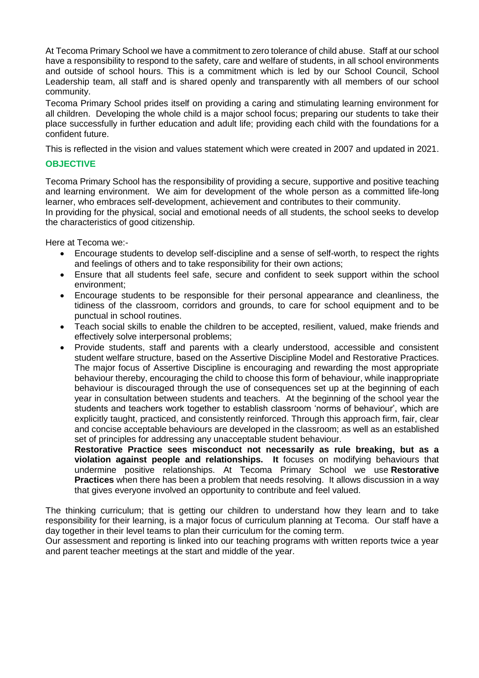At Tecoma Primary School we have a commitment to zero tolerance of child abuse. Staff at our school have a responsibility to respond to the safety, care and welfare of students, in all school environments and outside of school hours. This is a commitment which is led by our School Council, School Leadership team, all staff and is shared openly and transparently with all members of our school community.

Tecoma Primary School prides itself on providing a caring and stimulating learning environment for all children. Developing the whole child is a major school focus; preparing our students to take their place successfully in further education and adult life; providing each child with the foundations for a confident future.

This is reflected in the vision and values statement which were created in 2007 and updated in 2021.

#### **OBJECTIVE**

Tecoma Primary School has the responsibility of providing a secure, supportive and positive teaching and learning environment. We aim for development of the whole person as a committed life-long learner, who embraces self-development, achievement and contributes to their community.

In providing for the physical, social and emotional needs of all students, the school seeks to develop the characteristics of good citizenship.

Here at Tecoma we:-

- Encourage students to develop self-discipline and a sense of self-worth, to respect the rights and feelings of others and to take responsibility for their own actions;
- Ensure that all students feel safe, secure and confident to seek support within the school environment;
- Encourage students to be responsible for their personal appearance and cleanliness, the tidiness of the classroom, corridors and grounds, to care for school equipment and to be punctual in school routines.
- Teach social skills to enable the children to be accepted, resilient, valued, make friends and effectively solve interpersonal problems;
- Provide students, staff and parents with a clearly understood, accessible and consistent student welfare structure, based on the Assertive Discipline Model and Restorative Practices. The major focus of Assertive Discipline is encouraging and rewarding the most appropriate behaviour thereby, encouraging the child to choose this form of behaviour, while inappropriate behaviour is discouraged through the use of consequences set up at the beginning of each year in consultation between students and teachers. At the beginning of the school year the students and teachers work together to establish classroom 'norms of behaviour', which are explicitly taught, practiced, and consistently reinforced. Through this approach firm, fair, clear and concise acceptable behaviours are developed in the classroom; as well as an established set of principles for addressing any unacceptable student behaviour.

**Restorative Practice sees misconduct not necessarily as rule breaking, but as a violation against people and relationships. It** focuses on modifying behaviours that undermine positive relationships. At Tecoma Primary School we use **Restorative Practices** when there has been a problem that needs resolving. It allows discussion in a way that gives everyone involved an opportunity to contribute and feel valued.

The thinking curriculum; that is getting our children to understand how they learn and to take responsibility for their learning, is a major focus of curriculum planning at Tecoma. Our staff have a day together in their level teams to plan their curriculum for the coming term.

Our assessment and reporting is linked into our teaching programs with written reports twice a year and parent teacher meetings at the start and middle of the year.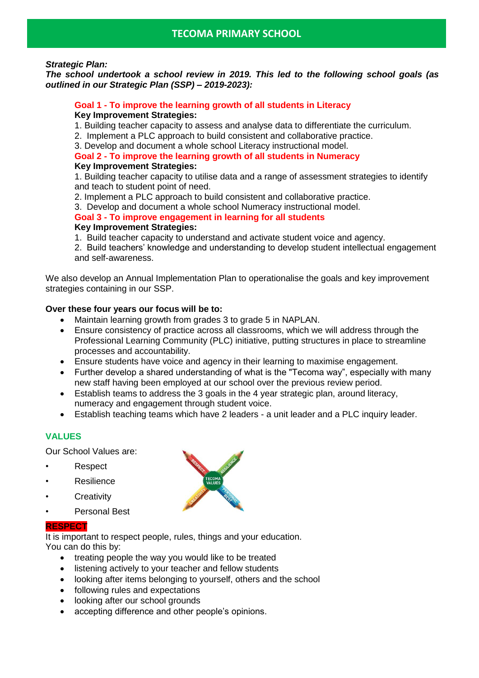#### *Strategic Plan:*

*The school undertook a school review in 2019. This led to the following school goals (as outlined in our Strategic Plan (SSP) – 2019-2023):*

#### **Goal 1 - To improve the learning growth of all students in Literacy Key Improvement Strategies:**

- 1. Building teacher capacity to assess and analyse data to differentiate the curriculum.
- 2. Implement a PLC approach to build consistent and collaborative practice.
- 3. Develop and document a whole school Literacy instructional model.

#### **Goal 2 - To improve the learning growth of all students in Numeracy Key Improvement Strategies:**

1. Building teacher capacity to utilise data and a range of assessment strategies to identify and teach to student point of need.

- 2. Implement a PLC approach to build consistent and collaborative practice.
- 3. Develop and document a whole school Numeracy instructional model.

**Goal 3 - To improve engagement in learning for all students Key Improvement Strategies:**

- 1. Build teacher capacity to understand and activate student voice and agency.
- 2. Build teachers' knowledge and understanding to develop student intellectual engagement and self-awareness.

We also develop an Annual Implementation Plan to operationalise the goals and key improvement strategies containing in our SSP.

#### **Over these four years our focus will be to:**

- Maintain learning growth from grades 3 to grade 5 in NAPLAN.
- Ensure consistency of practice across all classrooms, which we will address through the Professional Learning Community (PLC) initiative, putting structures in place to streamline processes and accountability.
- Ensure students have voice and agency in their learning to maximise engagement.
- Further develop a shared understanding of what is the "Tecoma way", especially with many new staff having been employed at our school over the previous review period.
- Establish teams to address the 3 goals in the 4 year strategic plan, around literacy, numeracy and engagement through student voice.
- Establish teaching teams which have 2 leaders a unit leader and a PLC inquiry leader.

## **VALUES**

Our School Values are:

- Respect
- **Resilience**
- **Creativity**
- Personal Best

#### **RESPECT**

It is important to respect people, rules, things and your education. You can do this by:

- treating people the way you would like to be treated
- listening actively to your teacher and fellow students
- looking after items belonging to yourself, others and the school
- following rules and expectations
- looking after our school grounds
- accepting difference and other people's opinions.

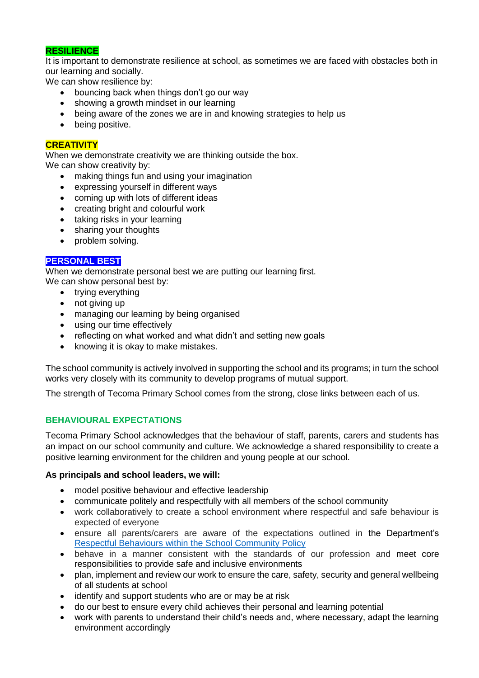### **RESILIENCE**

It is important to demonstrate resilience at school, as sometimes we are faced with obstacles both in our learning and socially.

We can show resilience by:

- bouncing back when things don't go our way
- showing a growth mindset in our learning
- being aware of the zones we are in and knowing strategies to help us
- being positive.

#### **CREATIVITY**

When we demonstrate creativity we are thinking outside the box. We can show creativity by:

- making things fun and using your imagination
- expressing yourself in different ways
- coming up with lots of different ideas
- creating bright and colourful work
- taking risks in your learning
- sharing your thoughts
- problem solving.

#### **PERSONAL BEST**

When we demonstrate personal best we are putting our learning first. We can show personal best by:

- trying everything
- not giving up
- managing our learning by being organised
- using our time effectively
- reflecting on what worked and what didn't and setting new goals
- knowing it is okay to make mistakes.

The school community is actively involved in supporting the school and its programs; in turn the school works very closely with its community to develop programs of mutual support.

The strength of Tecoma Primary School comes from the strong, close links between each of us.

#### **BEHAVIOURAL EXPECTATIONS**

Tecoma Primary School acknowledges that the behaviour of staff, parents, carers and students has an impact on our school community and culture. We acknowledge a shared responsibility to create a positive learning environment for the children and young people at our school.

#### **As principals and school leaders, we will:**

- model positive behaviour and effective leadership
- communicate politely and respectfully with all members of the school community
- work collaboratively to create a school environment where respectful and safe behaviour is expected of everyone
- ensure all parents/carers are aware of the expectations outlined in the Department's [Respectful Behaviours within the School Community Policy](https://www.education.vic.gov.au/Pages/Respectful-Behaviours-within-the-School-Community-Policy.aspx)
- behave in a manner consistent with the standards of our profession and meet core responsibilities to provide safe and inclusive environments
- plan, implement and review our work to ensure the care, safety, security and general wellbeing of all students at school
- identify and support students who are or may be at risk
- do our best to ensure every child achieves their personal and learning potential
- work with parents to understand their child's needs and, where necessary, adapt the learning environment accordingly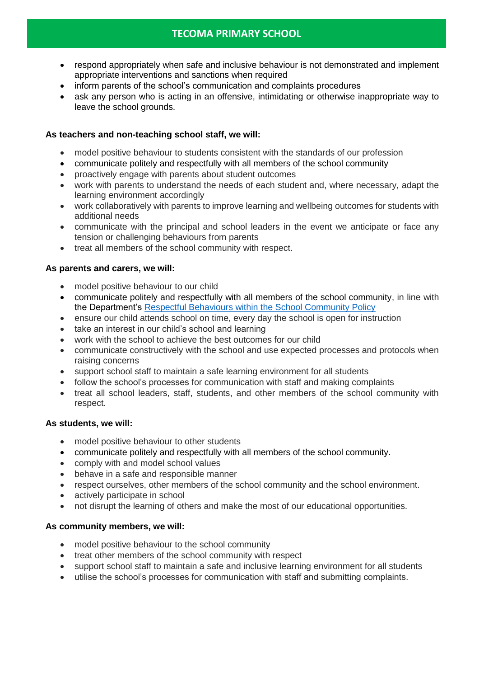# **TECOMA PRIMARY SCHOOL**

- respond appropriately when safe and inclusive behaviour is not demonstrated and implement appropriate interventions and sanctions when required
- inform parents of the school's communication and complaints procedures
- ask any person who is acting in an offensive, intimidating or otherwise inappropriate way to leave the school grounds.

#### **As teachers and non-teaching school staff, we will:**

- model positive behaviour to students consistent with the standards of our profession
- communicate politely and respectfully with all members of the school community
- proactively engage with parents about student outcomes
- work with parents to understand the needs of each student and, where necessary, adapt the learning environment accordingly
- work collaboratively with parents to improve learning and wellbeing outcomes for students with additional needs
- communicate with the principal and school leaders in the event we anticipate or face any tension or challenging behaviours from parents
- treat all members of the school community with respect.

#### **As parents and carers, we will:**

- model positive behaviour to our child
- communicate politely and respectfully with all members of the school community, in line with the Department's [Respectful Behaviours within the School Community Policy](https://www.education.vic.gov.au/Pages/Respectful-Behaviours-within-the-School-Community-Policy.aspx)
- ensure our child attends school on time, every day the school is open for instruction
- take an interest in our child's school and learning
- work with the school to achieve the best outcomes for our child
- communicate constructively with the school and use expected processes and protocols when raising concerns
- support school staff to maintain a safe learning environment for all students
- follow the school's processes for communication with staff and making complaints
- treat all school leaders, staff, students, and other members of the school community with respect.

#### **As students, we will:**

- model positive behaviour to other students
- communicate politely and respectfully with all members of the school community.
- comply with and model school values
- behave in a safe and responsible manner
- respect ourselves, other members of the school community and the school environment.
- actively participate in school
- not disrupt the learning of others and make the most of our educational opportunities.

#### **As community members, we will:**

- model positive behaviour to the school community
- treat other members of the school community with respect
- support school staff to maintain a safe and inclusive learning environment for all students
- utilise the school's processes for communication with staff and submitting complaints.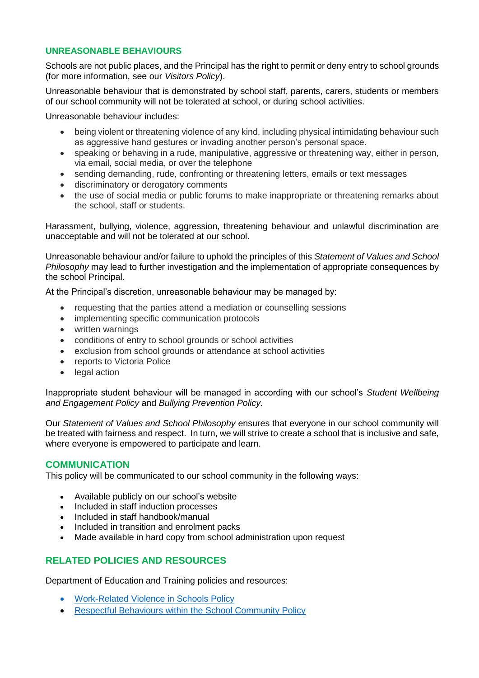#### **UNREASONABLE BEHAVIOURS**

Schools are not public places, and the Principal has the right to permit or deny entry to school grounds (for more information, see our *Visitors Policy*).

Unreasonable behaviour that is demonstrated by school staff, parents, carers, students or members of our school community will not be tolerated at school, or during school activities.

Unreasonable behaviour includes:

- being violent or threatening violence of any kind, including physical intimidating behaviour such as aggressive hand gestures or invading another person's personal space.
- speaking or behaving in a rude, manipulative, aggressive or threatening way, either in person, via email, social media, or over the telephone
- sending demanding, rude, confronting or threatening letters, emails or text messages
- discriminatory or derogatory comments
- the use of social media or public forums to make inappropriate or threatening remarks about the school, staff or students.

Harassment, bullying, violence, aggression, threatening behaviour and unlawful discrimination are unacceptable and will not be tolerated at our school.

Unreasonable behaviour and/or failure to uphold the principles of this *Statement of Values and School Philosophy* may lead to further investigation and the implementation of appropriate consequences by the school Principal.

At the Principal's discretion, unreasonable behaviour may be managed by:

- requesting that the parties attend a mediation or counselling sessions
- implementing specific communication protocols
- written warnings
- conditions of entry to school grounds or school activities
- exclusion from school grounds or attendance at school activities
- reports to Victoria Police
- legal action

Inappropriate student behaviour will be managed in according with our school's *Student Wellbeing and Engagement Policy* and *Bullying Prevention Policy.*

Our *Statement of Values and School Philosophy* ensures that everyone in our school community will be treated with fairness and respect. In turn, we will strive to create a school that is inclusive and safe, where everyone is empowered to participate and learn.

#### **COMMUNICATION**

This policy will be communicated to our school community in the following ways:

- Available publicly on our school's website
- Included in staff induction processes
- Included in staff handbook/manual
- Included in transition and enrolment packs
- Made available in hard copy from school administration upon request

# **RELATED POLICIES AND RESOURCES**

Department of Education and Training policies and resources:

- [Work-Related Violence in Schools Policy](https://www2.education.vic.gov.au/pal/work-related-violence-schools/policy)
- [Respectful Behaviours within the School Community Policy](https://www.education.vic.gov.au/Pages/Respectful-Behaviours-within-the-School-Community-Policy.aspx)